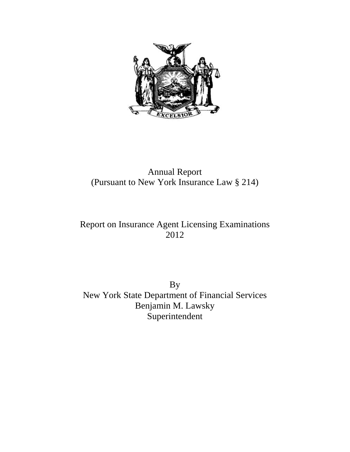

## Annual Report (Pursuant to New York Insurance Law § 214)

# Report on Insurance Agent Licensing Examinations 2012

By New York State Department of Financial Services Benjamin M. Lawsky Superintendent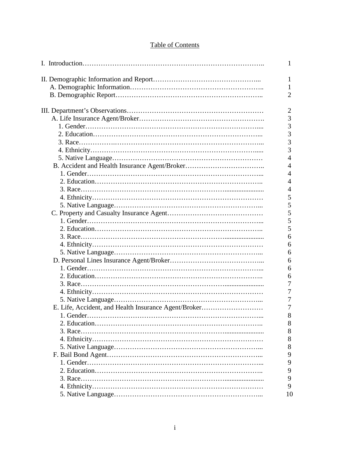## Table of Contents

|                                                      | 1              |
|------------------------------------------------------|----------------|
|                                                      | 1              |
|                                                      | 1              |
|                                                      | $\overline{2}$ |
|                                                      |                |
|                                                      | $\overline{2}$ |
|                                                      | 3              |
|                                                      | $\overline{3}$ |
|                                                      | 3              |
|                                                      | 3              |
|                                                      | 3              |
|                                                      | $\overline{4}$ |
|                                                      | $\overline{4}$ |
|                                                      | $\overline{4}$ |
|                                                      | $\overline{4}$ |
|                                                      | $\overline{4}$ |
|                                                      | 5              |
|                                                      | 5              |
|                                                      | 5              |
|                                                      | 5              |
|                                                      | 5              |
|                                                      | 6              |
|                                                      | 6              |
|                                                      | 6              |
|                                                      | 6              |
|                                                      | 6              |
|                                                      | 6              |
|                                                      | 7              |
|                                                      | $\overline{7}$ |
|                                                      | 7              |
| E. Life, Accident, and Health Insurance Agent/Broker | $\overline{7}$ |
|                                                      | 8              |
|                                                      | 8              |
|                                                      | 8              |
|                                                      | 8              |
|                                                      | 8              |
|                                                      | 9              |
|                                                      | 9              |
|                                                      | 9              |
|                                                      | 9              |
|                                                      | 9              |
|                                                      | 10             |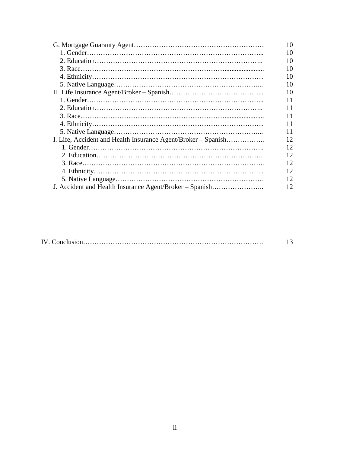|                                                               | 10 |
|---------------------------------------------------------------|----|
|                                                               | 10 |
|                                                               | 10 |
|                                                               | 10 |
|                                                               | 10 |
|                                                               | 10 |
|                                                               | 10 |
|                                                               | 11 |
|                                                               | 11 |
|                                                               | 11 |
|                                                               | 11 |
|                                                               | 11 |
| I. Life, Accident and Health Insurance Agent/Broker – Spanish | 12 |
|                                                               | 12 |
|                                                               | 12 |
|                                                               | 12 |
|                                                               | 12 |
|                                                               | 12 |
| J. Accident and Health Insurance Agent/Broker – Spanish       | 12 |

|--|--|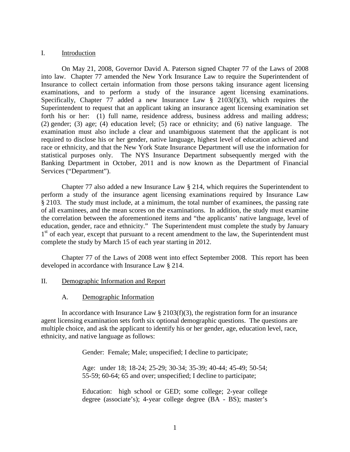#### I. Introduction

On May 21, 2008, Governor David A. Paterson signed Chapter 77 of the Laws of 2008 into law. Chapter 77 amended the New York Insurance Law to require the Superintendent of Insurance to collect certain information from those persons taking insurance agent licensing examinations, and to perform a study of the insurance agent licensing examinations. Specifically, Chapter 77 added a new Insurance Law  $\S$  2103(f)(3), which requires the Superintendent to request that an applicant taking an insurance agent licensing examination set forth his or her: (1) full name, residence address, business address and mailing address; (2) gender; (3) age; (4) education level; (5) race or ethnicity; and (6) native language. The examination must also include a clear and unambiguous statement that the applicant is not required to disclose his or her gender, native language, highest level of education achieved and race or ethnicity, and that the New York State Insurance Department will use the information for statistical purposes only. The NYS Insurance Department subsequently merged with the Banking Department in October, 2011 and is now known as the Department of Financial Services ("Department").

Chapter 77 also added a new Insurance Law § 214, which requires the Superintendent to perform a study of the insurance agent licensing examinations required by Insurance Law § 2103. The study must include, at a minimum, the total number of examinees, the passing rate of all examinees, and the mean scores on the examinations. In addition, the study must examine the correlation between the aforementioned items and "the applicants' native language, level of education, gender, race and ethnicity." The Superintendent must complete the study by January 1<sup>st</sup> of each year, except that pursuant to a recent amendment to the law, the Superintendent must complete the study by March 15 of each year starting in 2012.

Chapter 77 of the Laws of 2008 went into effect September 2008. This report has been developed in accordance with Insurance Law § 214.

- II. Demographic Information and Report
	- A. Demographic Information

In accordance with Insurance Law  $\S 2103(f)(3)$ , the registration form for an insurance agent licensing examination sets forth six optional demographic questions. The questions are multiple choice, and ask the applicant to identify his or her gender, age, education level, race, ethnicity, and native language as follows:

Gender: Female; Male; unspecified; I decline to participate;

Age: under 18; 18-24; 25-29; 30-34; 35-39; 40-44; 45-49; 50-54; 55-59; 60-64; 65 and over; unspecified; I decline to participate;

Education: high school or GED; some college; 2-year college degree (associate's); 4-year college degree (BA - BS); master's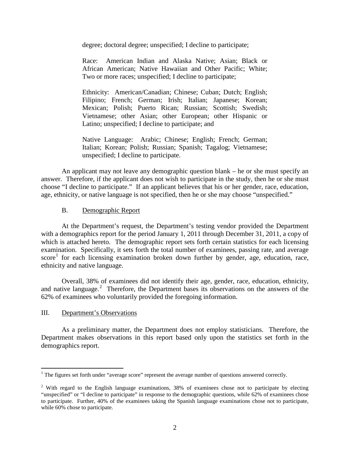degree; doctoral degree; unspecified; I decline to participate;

Race: American Indian and Alaska Native; Asian; Black or African American; Native Hawaiian and Other Pacific; White; Two or more races; unspecified; I decline to participate;

Ethnicity: American/Canadian; Chinese; Cuban; Dutch; English; Filipino; French; German; Irish; Italian; Japanese; Korean; Mexican; Polish; Puerto Rican; Russian; Scottish; Swedish; Vietnamese; other Asian; other European; other Hispanic or Latino; unspecified; I decline to participate; and

Native Language: Arabic; Chinese; English; French; German; Italian; Korean; Polish; Russian; Spanish; Tagalog; Vietnamese; unspecified; I decline to participate.

An applicant may not leave any demographic question blank – he or she must specify an answer. Therefore, if the applicant does not wish to participate in the study, then he or she must choose "I decline to participate." If an applicant believes that his or her gender, race, education, age, ethnicity, or native language is not specified, then he or she may choose "unspecified."

#### B. Demographic Report

At the Department's request, the Department's testing vendor provided the Department with a demographics report for the period January 1, 2011 through December 31, 2011, a copy of which is attached hereto. The demographic report sets forth certain statistics for each licensing examination. Specifically, it sets forth the total number of examinees, passing rate, and average score<sup>[1](#page-4-0)</sup> for each licensing examination broken down further by gender, age, education, race, ethnicity and native language.

Overall, 38% of examinees did not identify their age, gender, race, education, ethnicity, and native language.<sup>[2](#page-4-1)</sup> Therefore, the Department bases its observations on the answers of the 62% of examinees who voluntarily provided the foregoing information.

#### III. Department's Observations

As a preliminary matter, the Department does not employ statisticians. Therefore, the Department makes observations in this report based only upon the statistics set forth in the demographics report.

<span id="page-4-0"></span> $<sup>1</sup>$  The figures set forth under "average score" represent the average number of questions answered correctly.</sup>

<span id="page-4-1"></span><sup>&</sup>lt;sup>2</sup> With regard to the English language examinations, 38% of examinees chose not to participate by electing "unspecified" or "I decline to participate" in response to the demographic questions, while 62% of examinees chose to participate. Further, 40% of the examinees taking the Spanish language examinations chose not to participate, while 60% chose to participate.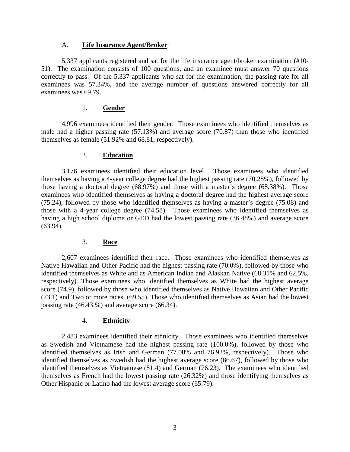#### A. **Life Insurance Agent/Broker**

5,337 applicants registered and sat for the life insurance agent/broker examination (#10- 51). The examination consists of 100 questions, and an examinee must answer 70 questions correctly to pass. Of the 5,337 applicants who sat for the examination, the passing rate for all examinees was 57.34%, and the average number of questions answered correctly for all examinees was 69.79.

#### 1. **Gender**

4,996 examinees identified their gender. Those examinees who identified themselves as male had a higher passing rate (57.13%) and average score (70.87) than those who identified themselves as female (51.92% and 68.81, respectively).

#### 2. **Education**

3,176 examinees identified their education level. Those examinees who identified themselves as having a 4-year college degree had the highest passing rate (70.28%), followed by those having a doctoral degree (68.97%) and those with a master's degree (68.38%). Those examinees who identified themselves as having a doctoral degree had the highest average score (75.24), followed by those who identified themselves as having a master's degree (75.08) and those with a 4-year college degree (74.58). Those examinees who identified themselves as having a high school diploma or GED had the lowest passing rate (36.48%) and average score (63.94).

## 3. **Race**

2,607 examinees identified their race. Those examinees who identified themselves as Native Hawaiian and Other Pacific had the highest passing rate (70.0%), followed by those who identified themselves as White and as American Indian and Alaskan Native (68.31% and 62.5%, respectively). Those examinees who identified themselves as White had the highest average score (74.9), followed by those who identified themselves as Native Hawaiian and Other Pacific (73.1) and Two or more races (69.55). Those who identified themselves as Asian had the lowest passing rate (46.43 %) and average score (66.34).

#### 4. **Ethnicity**

2,483 examinees identified their ethnicity. Those examinees who identified themselves as Swedish and Vietnamese had the highest passing rate (100.0%), followed by those who identified themselves as Irish and German (77.08% and 76.92%, respectively). Those who identified themselves as Swedish had the highest average score (86.67), followed by those who identified themselves as Vietnamese (81.4) and German (76.23). The examinees who identified themselves as French had the lowest passing rate (26.32%) and those identifying themselves as Other Hispanic or Latino had the lowest average score (65.79).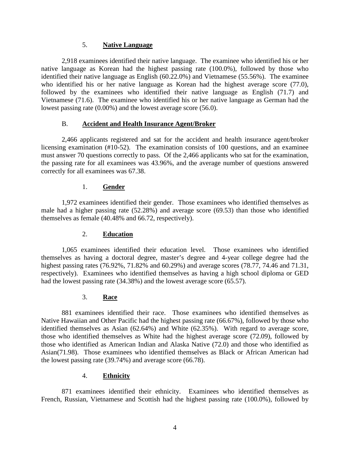#### 5. **Native Language**

2,918 examinees identified their native language. The examinee who identified his or her native language as Korean had the highest passing rate (100.0%), followed by those who identified their native language as English (60.22.0%) and Vietnamese (55.56%). The examinee who identified his or her native language as Korean had the highest average score (77.0), followed by the examinees who identified their native language as English (71.7) and Vietnamese (71.6). The examinee who identified his or her native language as German had the lowest passing rate (0.00%) and the lowest average score (56.0).

## B. **Accident and Health Insurance Agent/Broker**

2,466 applicants registered and sat for the accident and health insurance agent/broker licensing examination (#10-52). The examination consists of 100 questions, and an examinee must answer 70 questions correctly to pass. Of the 2,466 applicants who sat for the examination, the passing rate for all examinees was 43.96%, and the average number of questions answered correctly for all examinees was 67.38.

## 1. **Gender**

1,972 examinees identified their gender. Those examinees who identified themselves as male had a higher passing rate (52.28%) and average score (69.53) than those who identified themselves as female (40.48% and 66.72, respectively).

## 2. **Education**

1,065 examinees identified their education level. Those examinees who identified themselves as having a doctoral degree, master's degree and 4-year college degree had the highest passing rates (76.92%, 71.82% and 60.29%) and average scores (78.77, 74.46 and 71.31, respectively). Examinees who identified themselves as having a high school diploma or GED had the lowest passing rate (34.38%) and the lowest average score (65.57).

#### 3. **Race**

881 examinees identified their race. Those examinees who identified themselves as Native Hawaiian and Other Pacific had the highest passing rate (66.67%), followed by those who identified themselves as Asian (62.64%) and White (62.35%). With regard to average score, those who identified themselves as White had the highest average score (72.09), followed by those who identified as American Indian and Alaska Native (72.0) and those who identified as Asian(71.98). Those examinees who identified themselves as Black or African American had the lowest passing rate (39.74%) and average score (66.78).

#### 4. **Ethnicity**

871 examinees identified their ethnicity. Examinees who identified themselves as French, Russian, Vietnamese and Scottish had the highest passing rate (100.0%), followed by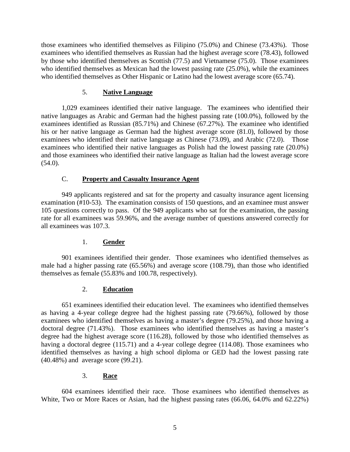those examinees who identified themselves as Filipino (75.0%) and Chinese (73.43%). Those examinees who identified themselves as Russian had the highest average score (78.43), followed by those who identified themselves as Scottish (77.5) and Vietnamese (75.0). Those examinees who identified themselves as Mexican had the lowest passing rate (25.0%), while the examinees who identified themselves as Other Hispanic or Latino had the lowest average score (65.74).

#### 5. **Native Language**

1,029 examinees identified their native language. The examinees who identified their native languages as Arabic and German had the highest passing rate (100.0%), followed by the examinees identified as Russian (85.71%) and Chinese (67.27%). The examinee who identified his or her native language as German had the highest average score (81.0), followed by those examinees who identified their native language as Chinese (73.09), and Arabic (72.0). Those examinees who identified their native languages as Polish had the lowest passing rate (20.0%) and those examinees who identified their native language as Italian had the lowest average score  $(54.0).$ 

## C. **Property and Casualty Insurance Agent**

949 applicants registered and sat for the property and casualty insurance agent licensing examination (#10-53). The examination consists of 150 questions, and an examinee must answer 105 questions correctly to pass. Of the 949 applicants who sat for the examination, the passing rate for all examinees was 59.96%, and the average number of questions answered correctly for all examinees was 107.3.

#### 1. **Gender**

901 examinees identified their gender. Those examinees who identified themselves as male had a higher passing rate (65.56%) and average score (108.79), than those who identified themselves as female (55.83% and 100.78, respectively).

#### 2. **Education**

651 examinees identified their education level. The examinees who identified themselves as having a 4-year college degree had the highest passing rate (79.66%), followed by those examinees who identified themselves as having a master's degree (79.25%), and those having a doctoral degree (71.43%). Those examinees who identified themselves as having a master's degree had the highest average score (116.28), followed by those who identified themselves as having a doctoral degree (115.71) and a 4-year college degree (114.08). Those examinees who identified themselves as having a high school diploma or GED had the lowest passing rate (40.48%) and average score (99.21).

#### 3. **Race**

604 examinees identified their race. Those examinees who identified themselves as White, Two or More Races or Asian, had the highest passing rates (66.06, 64.0% and 62.22%)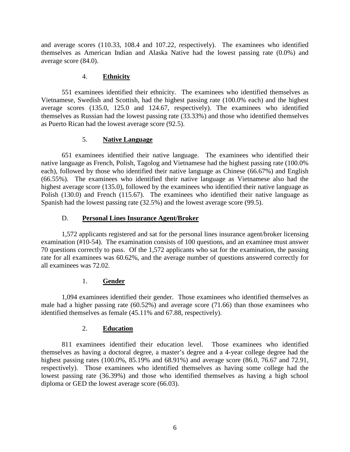and average scores (110.33, 108.4 and 107.22, respectively). The examinees who identified themselves as American Indian and Alaska Native had the lowest passing rate (0.0%) and average score (84.0).

## 4. **Ethnicity**

551 examinees identified their ethnicity. The examinees who identified themselves as Vietnamese, Swedish and Scottish, had the highest passing rate (100.0% each) and the highest average scores (135.0, 125.0 and 124.67, respectively). The examinees who identified themselves as Russian had the lowest passing rate (33.33%) and those who identified themselves as Puerto Rican had the lowest average score (92.5).

## 5. **Native Language**

651 examinees identified their native language. The examinees who identified their native language as French, Polish, Tagolog and Vietnamese had the highest passing rate (100.0% each), followed by those who identified their native language as Chinese (66.67%) and English (66.55%). The examinees who identified their native language as Vietnamese also had the highest average score (135.0), followed by the examinees who identified their native language as Polish (130.0) and French (115.67). The examinees who identified their native language as Spanish had the lowest passing rate (32.5%) and the lowest average score (99.5).

## D. **Personal Lines Insurance Agent/Broker**

1,572 applicants registered and sat for the personal lines insurance agent/broker licensing examination (#10-54). The examination consists of 100 questions, and an examinee must answer 70 questions correctly to pass. Of the 1,572 applicants who sat for the examination, the passing rate for all examinees was 60.62%, and the average number of questions answered correctly for all examinees was 72.02.

## 1. **Gender**

1,094 examinees identified their gender. Those examinees who identified themselves as male had a higher passing rate (60.52%) and average score (71.66) than those examinees who identified themselves as female (45.11% and 67.88, respectively).

## 2. **Education**

811 examinees identified their education level. Those examinees who identified themselves as having a doctoral degree, a master's degree and a 4-year college degree had the highest passing rates (100.0%, 85.19% and 68.91%) and average score (86.0, 76.67 and 72.91, respectively). Those examinees who identified themselves as having some college had the lowest passing rate (36.39%) and those who identified themselves as having a high school diploma or GED the lowest average score (66.03).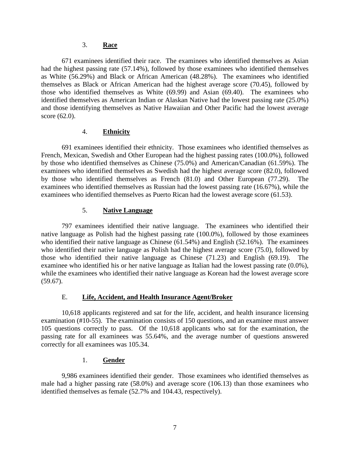#### 3. **Race**

671 examinees identified their race. The examinees who identified themselves as Asian had the highest passing rate (57.14%), followed by those examinees who identified themselves as White (56.29%) and Black or African American (48.28%). The examinees who identified themselves as Black or African American had the highest average score (70.45), followed by those who identified themselves as White (69.99) and Asian (69.40). The examinees who identified themselves as American Indian or Alaskan Native had the lowest passing rate (25.0%) and those identifying themselves as Native Hawaiian and Other Pacific had the lowest average score (62.0).

#### 4. **Ethnicity**

691 examinees identified their ethnicity. Those examinees who identified themselves as French, Mexican, Swedish and Other European had the highest passing rates (100.0%), followed by those who identified themselves as Chinese (75.0%) and American/Canadian (61.59%). The examinees who identified themselves as Swedish had the highest average score (82.0), followed by those who identified themselves as French (81.0) and Other European (77.29). The examinees who identified themselves as Russian had the lowest passing rate (16.67%), while the examinees who identified themselves as Puerto Rican had the lowest average score (61.53).

## 5. **Native Language**

797 examinees identified their native language. The examinees who identified their native language as Polish had the highest passing rate (100.0%), followed by those examinees who identified their native language as Chinese (61.54%) and English (52.16%). The examinees who identified their native language as Polish had the highest average score (75.0), followed by those who identified their native language as Chinese  $(71.23)$  and English  $(69.19)$ . examinee who identified his or her native language as Italian had the lowest passing rate (0.0%), while the examinees who identified their native language as Korean had the lowest average score (59.67).

## E. **Life, Accident, and Health Insurance Agent/Broker**

10,618 applicants registered and sat for the life, accident, and health insurance licensing examination (#10-55). The examination consists of 150 questions, and an examinee must answer 105 questions correctly to pass. Of the 10,618 applicants who sat for the examination, the passing rate for all examinees was 55.64%, and the average number of questions answered correctly for all examinees was 105.34.

## 1. **Gender**

9,986 examinees identified their gender. Those examinees who identified themselves as male had a higher passing rate (58.0%) and average score (106.13) than those examinees who identified themselves as female (52.7% and 104.43, respectively).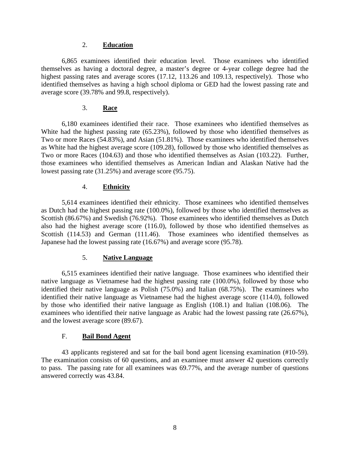#### 2. **Education**

6,865 examinees identified their education level. Those examinees who identified themselves as having a doctoral degree, a master's degree or 4-year college degree had the highest passing rates and average scores (17.12, 113.26 and 109.13, respectively). Those who identified themselves as having a high school diploma or GED had the lowest passing rate and average score (39.78% and 99.8, respectively).

## 3. **Race**

6,180 examinees identified their race. Those examinees who identified themselves as White had the highest passing rate (65.23%), followed by those who identified themselves as Two or more Races (54.83%), and Asian (51.81%). Those examinees who identified themselves as White had the highest average score (109.28), followed by those who identified themselves as Two or more Races (104.63) and those who identified themselves as Asian (103.22). Further, those examinees who identified themselves as American Indian and Alaskan Native had the lowest passing rate (31.25%) and average score (95.75).

#### 4. **Ethnicity**

5,614 examinees identified their ethnicity. Those examinees who identified themselves as Dutch had the highest passing rate (100.0%), followed by those who identified themselves as Scottish (86.67%) and Swedish (76.92%). Those examinees who identified themselves as Dutch also had the highest average score (116.0), followed by those who identified themselves as Scottish (114.53) and German (111.46). Those examinees who identified themselves as Japanese had the lowest passing rate (16.67%) and average score (95.78).

#### 5. **Native Language**

6,515 examinees identified their native language. Those examinees who identified their native language as Vietnamese had the highest passing rate (100.0%), followed by those who identified their native language as Polish (75.0%) and Italian (68.75%). The examinees who identified their native language as Vietnamese had the highest average score (114.0), followed by those who identified their native language as English (108.1) and Italian (108.06). The examinees who identified their native language as Arabic had the lowest passing rate (26.67%), and the lowest average score (89.67).

#### F. **Bail Bond Agent**

43 applicants registered and sat for the bail bond agent licensing examination (#10-59). The examination consists of 60 questions, and an examinee must answer 42 questions correctly to pass. The passing rate for all examinees was 69.77%, and the average number of questions answered correctly was 43.84.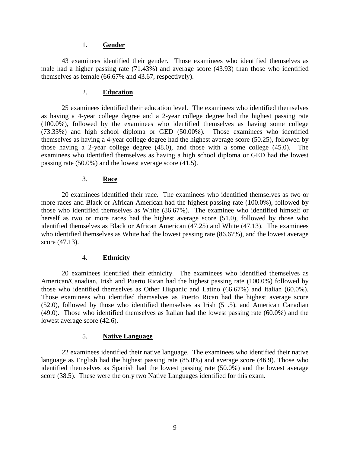#### 1. **Gender**

43 examinees identified their gender. Those examinees who identified themselves as male had a higher passing rate (71.43%) and average score (43.93) than those who identified themselves as female (66.67% and 43.67, respectively).

#### 2. **Education**

25 examinees identified their education level. The examinees who identified themselves as having a 4-year college degree and a 2-year college degree had the highest passing rate (100.0%), followed by the examinees who identified themselves as having some college (73.33%) and high school diploma or GED (50.00%). Those examinees who identified themselves as having a 4-year college degree had the highest average score (50.25), followed by those having a 2-year college degree (48.0), and those with a some college (45.0). The examinees who identified themselves as having a high school diploma or GED had the lowest passing rate (50.0%) and the lowest average score (41.5).

#### 3. **Race**

20 examinees identified their race. The examinees who identified themselves as two or more races and Black or African American had the highest passing rate (100.0%), followed by those who identified themselves as White (86.67%). The examinee who identified himself or herself as two or more races had the highest average score (51.0), followed by those who identified themselves as Black or African American (47.25) and White (47.13). The examinees who identified themselves as White had the lowest passing rate (86.67%), and the lowest average score (47.13).

#### 4. **Ethnicity**

20 examinees identified their ethnicity. The examinees who identified themselves as American/Canadian, Irish and Puerto Rican had the highest passing rate (100.0%) followed by those who identified themselves as Other Hispanic and Latino (66.67%) and Italian (60.0%). Those examinees who identified themselves as Puerto Rican had the highest average score (52.0), followed by those who identified themselves as Irish (51.5), and American Canadian (49.0). Those who identified themselves as Italian had the lowest passing rate (60.0%) and the lowest average score (42.6).

#### 5. **Native Language**

22 examinees identified their native language. The examinees who identified their native language as English had the highest passing rate (85.0%) and average score (46.9). Those who identified themselves as Spanish had the lowest passing rate (50.0%) and the lowest average score (38.5). These were the only two Native Languages identified for this exam.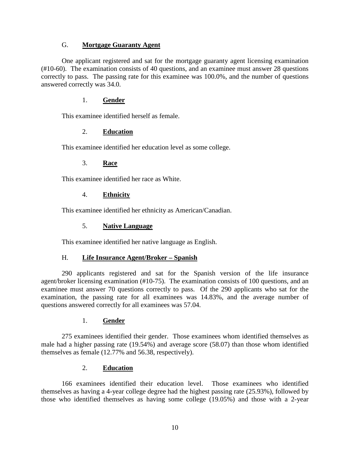#### G. **Mortgage Guaranty Agent**

One applicant registered and sat for the mortgage guaranty agent licensing examination (#10-60). The examination consists of 40 questions, and an examinee must answer 28 questions correctly to pass. The passing rate for this examinee was 100.0%, and the number of questions answered correctly was 34.0.

## 1. **Gender**

This examinee identified herself as female.

## 2. **Education**

This examinee identified her education level as some college.

## 3. **Race**

This examinee identified her race as White.

## 4. **Ethnicity**

This examinee identified her ethnicity as American/Canadian.

#### 5. **Native Language**

This examinee identified her native language as English.

## H. **Life Insurance Agent/Broker – Spanish**

290 applicants registered and sat for the Spanish version of the life insurance agent/broker licensing examination (#10-75). The examination consists of 100 questions, and an examinee must answer 70 questions correctly to pass. Of the 290 applicants who sat for the examination, the passing rate for all examinees was 14.83%, and the average number of questions answered correctly for all examinees was 57.04.

#### 1. **Gender**

275 examinees identified their gender. Those examinees whom identified themselves as male had a higher passing rate (19.54%) and average score (58.07) than those whom identified themselves as female (12.77% and 56.38, respectively).

#### 2. **Education**

166 examinees identified their education level. Those examinees who identified themselves as having a 4-year college degree had the highest passing rate (25.93%), followed by those who identified themselves as having some college (19.05%) and those with a 2-year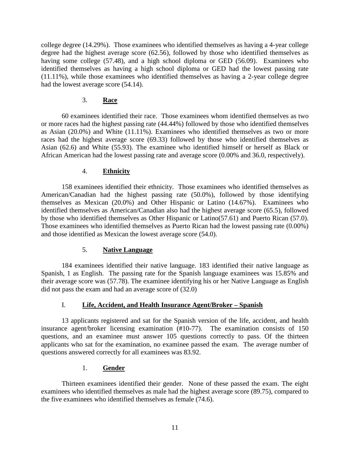college degree (14.29%). Those examinees who identified themselves as having a 4-year college degree had the highest average score (62.56), followed by those who identified themselves as having some college (57.48), and a high school diploma or GED (56.09). Examinees who identified themselves as having a high school diploma or GED had the lowest passing rate (11.11%), while those examinees who identified themselves as having a 2-year college degree had the lowest average score (54.14).

## 3. **Race**

60 examinees identified their race. Those examinees whom identified themselves as two or more races had the highest passing rate (44.44%) followed by those who identified themselves as Asian (20.0%) and White (11.11%). Examinees who identified themselves as two or more races had the highest average score (69.33) followed by those who identified themselves as Asian (62.6) and White (55.93). The examinee who identified himself or herself as Black or African American had the lowest passing rate and average score (0.00% and 36.0, respectively).

## 4. **Ethnicity**

158 examinees identified their ethnicity. Those examinees who identified themselves as American/Canadian had the highest passing rate (50.0%), followed by those identifying themselves as Mexican (20.0%) and Other Hispanic or Latino (14.67%). Examinees who identified themselves as American/Canadian also had the highest average score (65.5), followed by those who identified themselves as Other Hispanic or Latino(57.61) and Puerto Rican (57.0). Those examinees who identified themselves as Puerto Rican had the lowest passing rate (0.00%) and those identified as Mexican the lowest average score (54.0).

## 5. **Native Language**

184 examinees identified their native language. 183 identified their native language as Spanish, 1 as English. The passing rate for the Spanish language examinees was 15.85% and their average score was (57.78). The examinee identifying his or her Native Language as English did not pass the exam and had an average score of (32.0)

## I. **Life, Accident, and Health Insurance Agent/Broker – Spanish**

13 applicants registered and sat for the Spanish version of the life, accident, and health insurance agent/broker licensing examination (#10-77). The examination consists of 150 questions, and an examinee must answer 105 questions correctly to pass. Of the thirteen applicants who sat for the examination, no examinee passed the exam. The average number of questions answered correctly for all examinees was 83.92.

## 1. **Gender**

Thirteen examinees identified their gender. None of these passed the exam. The eight examinees who identified themselves as male had the highest average score (89.75), compared to the five examinees who identified themselves as female (74.6).